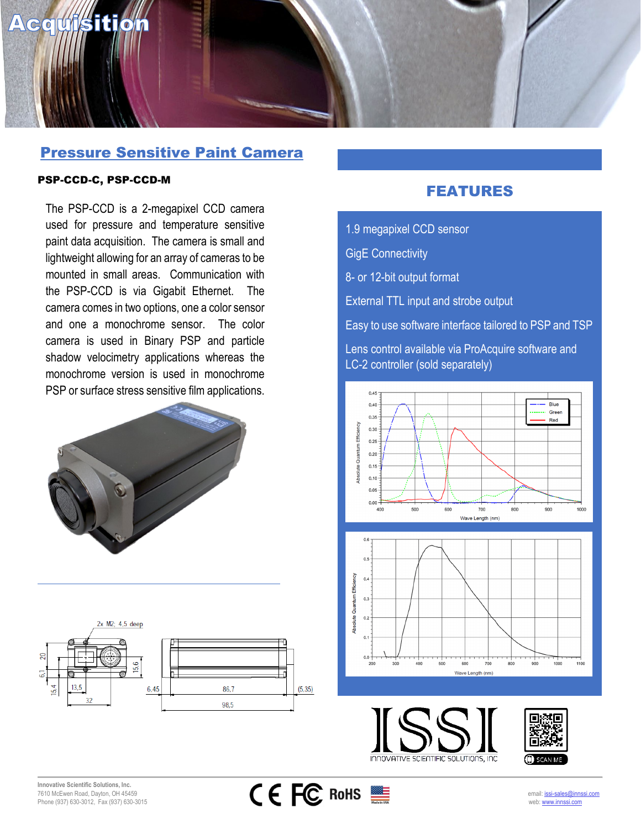

## Pressure Sensitive Paint Camera

## PSP-CCD-C, PSP-CCD-M

The PSP-CCD is a 2-megapixel CCD camera used for pressure and temperature sensitive paint data acquisition. The camera is small and lightweight allowing for an array of cameras to be mounted in small areas. Communication with the PSP-CCD is via Gigabit Ethernet. The camera comes in two options, one a color sensor and one a monochrome sensor. The color camera is used in Binary PSP and particle shadow velocimetry applications whereas the monochrome version is used in monochrome PSP or surface stress sensitive film applications.





## FEATURES

1.9 megapixel CCD sensor

GigE Connectivity

8- or 12-bit output format

External TTL input and strobe output

Easy to use software interface tailored to PSP and TSP

Lens control available via ProAcquire software and LC-2 controller (sold separately)









INNOVATIVE SCIENTIFIC SOLUTIONS, INC